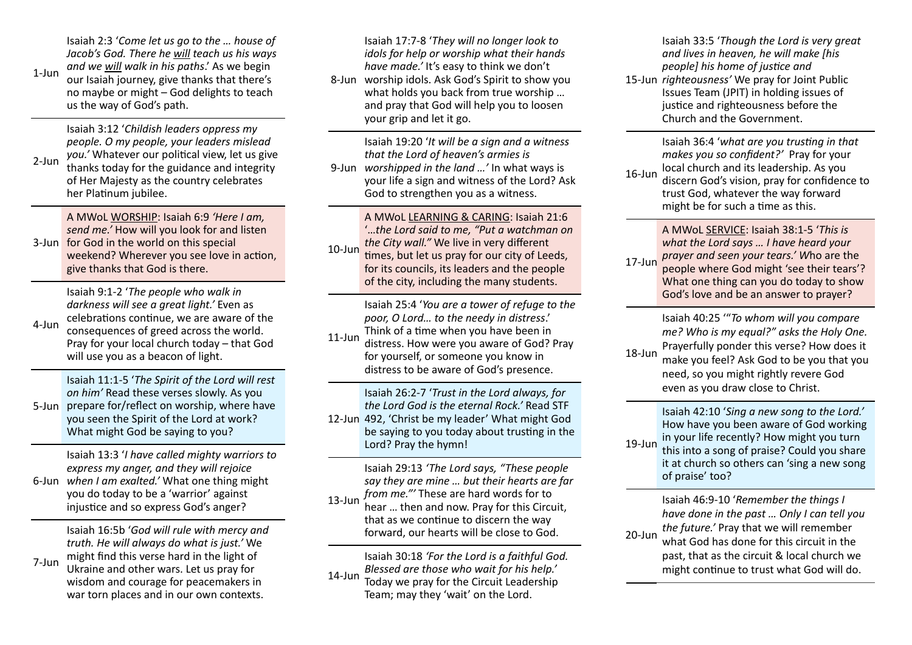1-Jun Isaiah 2:3 '*Come let us go to the … house of Jacob's God. There he will teach us his ways and we will walk in his paths*.' As we begin our Isaiah journey, give thanks that there's no maybe or might – God delights to teach us the way of God's path.

2-Jun Isaiah 3:12 '*Childish leaders oppress my people. O my people, your leaders mislead you.'* Whatever our political view, let us give thanks today for the guidance and integrity of Her Majesty as the country celebrates her Platinum jubilee.

3-Jun for God in the world on this special A MWoL WORSHIP: Isaiah 6:9 *'Here I am, send me.'* How will you look for and listen weekend? Wherever you see love in action. give thanks that God is there.

 $4$ -Jun Isaiah 9:1-2 '*The people who walk in darkness will see a great light.'* Even as celebrations continue, we are aware of the consequences of greed across the world. Pray for your local church today – that God will use you as a beacon of light.

5-Jun prepare for/reflect on worship, where have Isaiah 11:1-5 '*The Spirit of the Lord will rest on him'* Read these verses slowly. As you you seen the Spirit of the Lord at work? What might God be saying to you?

6-Jun *when I am exalted.'* What one thing might Isaiah 13:3 '*I have called mighty warriors to express my anger, and they will rejoice*  you do today to be a 'warrior' against injustice and so express God's anger?

7-Jun Isaiah 16:5b '*God will rule with mercy and truth. He will always do what is just.'* We might find this verse hard in the light of Ukraine and other wars. Let us pray for wisdom and courage for peacemakers in war torn places and in our own contexts.

8-Jun worship idols. Ask God's Spirit to show you Isaiah 17:7-8 '*They will no longer look to idols for help or worship what their hands have made.'* It's easy to think we don't what holds you back from true worship … and pray that God will help you to loosen your grip and let it go.

9-Jun *worshipped in the land …'* In what ways is Isaiah 19:20 '*It will be a sign and a witness that the Lord of heaven's armies is*  your life a sign and witness of the Lord? Ask God to strengthen you as a witness.

10-Jun A MWoL LEARNING & CARING: Isaiah 21:6 '…*the Lord said to me, "Put a watchman on the City wall."* We live in very different times, but let us pray for our city of Leeds. for its councils, its leaders and the people of the city, including the many students.

> Isaiah 25:4 '*You are a tower of refuge to the poor, O Lord… to the needy in distress*.' Think of a time when you have been in

11-Jun distress. How were you aware of God? Pray for yourself, or someone you know in distress to be aware of God's presence.

12-Jun 492, 'Christ be my leader' What might God Isaiah 26:2-7 '*Trust in the Lord always, for the Lord God is the eternal Rock.'* Read STF be saying to you today about trusting in the Lord? Pray the hymn!

13-Jun Isaiah 29:13 *'The Lord says, "These people say they are mine … but their hearts are far from me."'* These are hard words for to hear … then and now. Pray for this Circuit, that as we continue to discern the way forward, our hearts will be close to God.

14-Jun Isaiah 30:18 *'For the Lord is a faithful God. Blessed are those who wait for his help.'* Today we pray for the Circuit Leadership Team; may they 'wait' on the Lord.

15-Jun *righteousness'* We pray for Joint Public Isaiah 33:5 '*Though the Lord is very great and lives in heaven, he will make [his people] his home of justice and* Issues Team (JPIT) in holding issues of justice and righteousness before the Church and the Government.

16-Jun Isaiah 36:4 'what are you trusting in that *makes you so confident?'* Pray for your local church and its leadership. As you discern God's vision, pray for confidence to trust God, whatever the way forward might be for such a time as this.

17-Jun A MWoL SERVICE: Isaiah 38:1-5 '*This is what the Lord says … I have heard your prayer and seen your tears.' W*ho are the people where God might 'see their tears'? What one thing can you do today to show God's love and be an answer to prayer?

> Isaiah 40:25 '"*To whom will you compare me? Who is my equal?" asks the Holy One.*  Prayerfully ponder this verse? How does it

18-Jun make you feel? Ask God to be you that you need, so you might rightly revere God even as you draw close to Christ.

19-Jun Isaiah 42:10 '*Sing a new song to the Lord.'* How have you been aware of God working in your life recently? How might you turn this into a song of praise? Could you share it at church so others can 'sing a new song of praise' too?

20-Jun Isaiah 46:9-10 '*Remember the things I have done in the past … Only I can tell you the future.'* Pray that we will remember what God has done for this circuit in the past, that as the circuit & local church we might continue to trust what God will do.